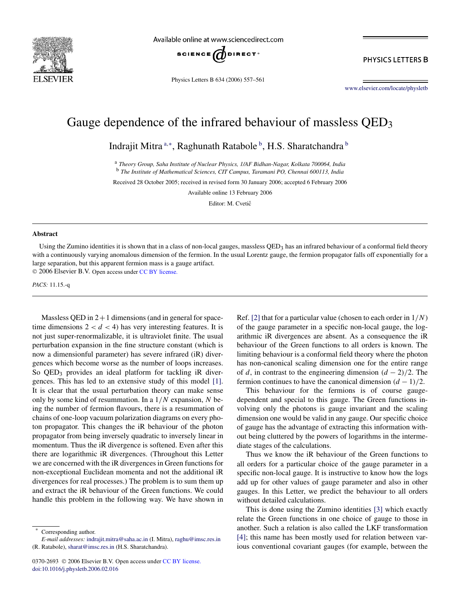

Available online at www.sciencedirect.com



Physics Letters B 634 (2006) 557–561

PHYSICS LETTERS B

www.elsevier.com/locate/physletb

## Gauge dependence of the infrared behaviour of massless QED<sub>3</sub>

Indrajit Mitra <sup>a,∗</sup>, Raghunath Ratabole <sup>b</sup>, H.S. Sharatchandra <sup>b</sup>

<sup>a</sup> *Theory Group, Saha Institute of Nuclear Physics, 1/AF Bidhan-Nagar, Kolkata 700064, India* <sup>b</sup> *The Institute of Mathematical Sciences, CIT Campus, Taramani PO, Chennai 600113, India*

Received 28 October 2005; received in revised form 30 January 2006; accepted 6 February 2006

Available online 13 February 2006

Editor: M. Cvetič

## **Abstract**

Using the Zumino identities it is shown that in a class of non-local gauges, massless  $QED<sub>3</sub>$  has an infrared behaviour of a conformal field theory with a continuously varying anomalous dimension of the fermion. In the usual Lorentz gauge, the fermion propagator falls off exponentially for a large separation, but this apparent fermion mass is a gauge artifact.  $© 2006 Elsevier B.V. Open access under CC BY license.$ 

*PACS:* 11.15.-q

Massless QED in  $2+1$  dimensions (and in general for spacetime dimensions  $2 < d < 4$ ) has very interesting features. It is not just super-renormalizable, it is ultraviolet finite. The usual perturbation expansion in the fine structure constant (which is now a dimensionful parameter) has severe infrared (iR) divergences which become worse as the number of loops increases. So QED<sub>3</sub> provides an ideal platform for tackling iR divergences. This has led to an extensive study of this model [1]. It is clear that the usual perturbation theory can make sense only by some kind of resummation. In a  $1/N$  expansion, N being the number of fermion flavours, there is a resummation of chains of one-loop vacuum polarization diagrams on every photon propagator. This changes the iR behaviour of the photon propagator from being inversely quadratic to inversely linear in momentum. Thus the iR divergence is softened. Even after this there are logarithmic iR divergences. (Throughout this Letter we are concerned with the iR divergences in Green functions for non-exceptional Euclidean momenta and not the additional iR divergences for real processes.) The problem is to sum them up and extract the iR behaviour of the Green functions. We could handle this problem in the following way. We have shown in

Ref. [2] that for a particular value (chosen to each order in  $1/N$ ) of the gauge parameter in a specific non-local gauge, the logarithmic iR divergences are absent. As a consequence the iR behaviour of the Green functions to all orders is known. The limiting behaviour is a conformal field theory where the photon has non-canonical scaling dimension one for the entire range of d, in contrast to the engineering dimension  $(d - 2)/2$ . The fermion continues to have the canonical dimension  $(d-1)/2$ .

This behaviour for the fermions is of course gaugedependent and special to this gauge. The Green functions involving only the photons is gauge invariant and the scaling dimension one would be valid in any gauge. Our specific choice of gauge has the advantage of extracting this information without being cluttered by the powers of logarithms in the intermediate stages of the calculations.

Thus we know the iR behaviour of the Green functions to all orders for a particular choice of the gauge parameter in a specific non-local gauge. It is instructive to know how the logs add up for other values of gauge parameter and also in other gauges. In this Letter, we predict the behaviour to all orders without detailed calculations.

This is done using the Zumino identities [3] which exactly relate the Green functions in one choice of gauge to those in another. Such a relation is also called the LKF transformation [4]; this name has been mostly used for relation between various conventional covariant gauges (for example, between the

Corresponding author.

*E-mail addresses:* indrajit.mitra@saha.ac.in (I. Mitra), raghu@imsc.res.in (R. Ratabole), sharat@imsc.res.in (H.S. Sharatchandra).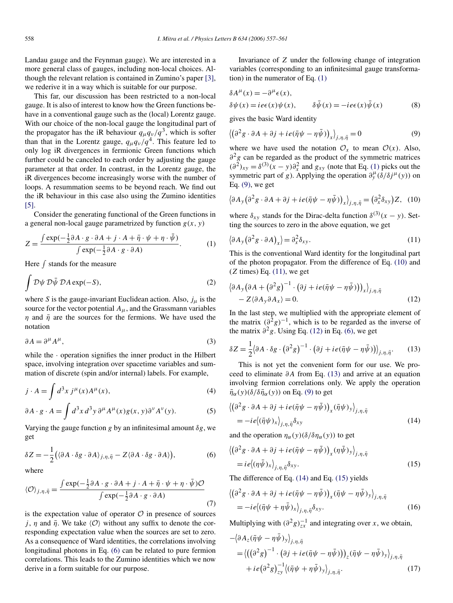Landau gauge and the Feynman gauge). We are interested in a more general class of gauges, including non-local choices. Although the relevant relation is contained in Zumino's paper [3], we rederive it in a way which is suitable for our purpose.

This far, our discussion has been restricted to a non-local gauge. It is also of interest to know how the Green functions behave in a conventional gauge such as the (local) Lorentz gauge. With our choice of the non-local gauge the longitudinal part of the propagator has the iR behaviour  $q_{\mu}q_{\nu}/q^3$ , which is softer than that in the Lorentz gauge,  $q_{\mu}q_{\nu}/q^4$ . This feature led to only log iR divergences in fermionic Green functions which further could be canceled to each order by adjusting the gauge parameter at that order. In contrast, in the Lorentz gauge, the iR divergences become increasingly worse with the number of loops. A resummation seems to be beyond reach. We find out the iR behaviour in this case also using the Zumino identities [5].

Consider the generating functional of the Green functions in a general non-local gauge parametrized by function  $g(x, y)$ 

$$
Z = \frac{\int \exp(-\frac{1}{2}\partial A \cdot g \cdot \partial A + j \cdot A + \bar{\eta} \cdot \psi + \eta \cdot \bar{\psi})}{\int \exp(-\frac{1}{2}\partial A \cdot g \cdot \partial A)}.
$$
 (1)

Here  $\int$  stands for the measure

$$
\int \mathcal{D}\psi \,\mathcal{D}\bar{\psi} \,\mathcal{D}A \exp(-S),\tag{2}
$$

where S is the gauge-invariant Euclidean action. Also,  $j_{\mu}$  is the source for the vector potential  $A_{\mu}$ , and the Grassmann variables  $\eta$  and  $\bar{\eta}$  are the sources for the fermions. We have used the notation

$$
\partial A = \partial^{\mu} A^{\mu},\tag{3}
$$

while the  $\cdot$  operation signifies the inner product in the Hilbert space, involving integration over spacetime variables and summation of discrete (spin and/or internal) labels. For example,

$$
j \cdot A = \int d^3x \, j^\mu(x) A^\mu(x),\tag{4}
$$

$$
\partial A \cdot g \cdot A = \int d^3x \, d^3y \, \partial^\mu A^\mu(x) g(x, y) \partial^\nu A^\nu(y). \tag{5}
$$

Varying the gauge function g by an infinitesimal amount  $\delta g$ , we get

$$
\delta Z = -\frac{1}{2} \big( \langle \partial A \cdot \delta g \cdot \partial A \rangle_{j,\eta,\bar{\eta}} - Z \langle \partial A \cdot \delta g \cdot \partial A \rangle \big),\tag{6}
$$

where

$$
\langle \mathcal{O} \rangle_{j,\eta,\bar{\eta}} = \frac{\int \exp(-\frac{1}{2}\partial A \cdot g \cdot \partial A + j \cdot A + \bar{\eta} \cdot \psi + \eta \cdot \bar{\psi})\mathcal{O}}{\int \exp(-\frac{1}{2}\partial A \cdot g \cdot \partial A)} \tag{7}
$$

is the expectation value of operator  $\mathcal O$  in presence of sources j,  $\eta$  and  $\bar{\eta}$ . We take  $\langle \mathcal{O} \rangle$  without any suffix to denote the corresponding expectation value when the sources are set to zero. As a consequence of Ward identities, the correlations involving longitudinal photons in Eq. (6) can be related to pure fermion correlations. This leads to the Zumino identities which we now derive in a form suitable for our purpose.

Invariance of Z under the following change of integration variables (corresponding to an infinitesimal gauge transformation) in the numerator of Eq. (1)

$$
\delta A^{\mu}(x) = -\partial^{\mu} \epsilon(x),
$$
  
\n
$$
\delta \psi(x) = ie\epsilon(x)\psi(x), \qquad \delta \bar{\psi}(x) = -ie\epsilon(x)\bar{\psi}(x)
$$
 (8)

gives the basic Ward identity

$$
\langle (\partial^2 g \cdot \partial A + \partial j + ie(\bar{\eta}\psi - \eta\bar{\psi}))_x \rangle_{j,\eta,\bar{\eta}} = 0 \tag{9}
$$

where we have used the notation  $\mathcal{O}_x$  to mean  $\mathcal{O}(x)$ . Also,  $\partial^2 g$  can be regarded as the product of the symmetric matrices  $(\partial^2)_{xy} = \delta^{(3)}(x - y)\partial_x^2$  and  $g_{xy}$  (note that Eq. (1) picks out the symmetric part of g). Applying the operation  $\frac{\partial \mu}{\partial y} (\delta/\delta j^{\mu}(y))$  on Eq. (9), we get

$$
\left\langle \partial A_{y} \left( \partial^{2} g \cdot \partial A + \partial j + i e (\bar{\eta} \psi - \eta \bar{\psi}) \right)_{x} \right\rangle_{j, \eta, \bar{\eta}} = \left( \partial_{x}^{2} \delta_{xy} \right) Z, \quad (10)
$$

where  $\delta_{xy}$  stands for the Dirac-delta function  $\delta^{(3)}(x - y)$ . Setting the sources to zero in the above equation, we get

$$
\langle \partial A_{y} (\partial^{2} g \cdot \partial A)_{x} \rangle = \partial_{x}^{2} \delta_{xy}.
$$
 (11)

This is the conventional Ward identity for the longitudinal part of the photon propagator. From the difference of Eq. (10) and  $(Z \times E)$  Eq.  $(11)$ , we get

$$
\langle \partial A_{y} (\partial A + (\partial^{2} g)^{-1} \cdot (\partial j + i e (\bar{\eta} \psi - \eta \bar{\psi})) \rangle_{x} \rangle_{j, \eta, \bar{\eta}} - Z \langle \partial A_{y} \partial A_{x} \rangle = 0.
$$
 (12)

In the last step, we multiplied with the appropriate element of the matrix  $(\partial^2 g)^{-1}$ , which is to be regarded as the inverse of the matrix  $\partial^2 g$ . Using Eq. (12) in Eq. (6), we get

$$
\delta Z = \frac{1}{2} (\partial A \cdot \delta g \cdot (\partial^2 g)^{-1} \cdot (\partial j + i e (\bar{\eta} \psi - \eta \bar{\psi})) \big|_{j, \eta, \bar{\eta}}.
$$
 (13)

This is not yet the convenient form for our use. We proceed to eliminate ∂A from Eq. (13) and arrive at an equation involving fermion correlations only. We apply the operation  $\bar{\eta}_{\alpha}(y)(\delta/\delta\bar{\eta}_{\alpha}(y))$  on Eq. (9) to get

$$
\langle (\partial^2 g \cdot \partial A + \partial j + ie(\bar{\eta}\psi - \eta\bar{\psi}))_x(\bar{\eta}\psi)_y \rangle_{j,\eta,\bar{\eta}} = -ie(\langle \bar{\eta}\psi)_x \rangle_{j,\eta,\bar{\eta}} \delta_{xy}
$$
(14)

and the operation  $\eta_{\alpha}(y)(\delta/\delta\eta_{\alpha}(y))$  to get

$$
\langle (\partial^2 g \cdot \partial A + \partial j + ie(\bar{\eta}\psi - \eta\bar{\psi}))_x (\eta\bar{\psi})_y \rangle_{j,\eta,\bar{\eta}} = ie(\langle \eta\bar{\psi})_x \rangle_{j,\eta,\bar{\eta}} \delta_{xy}.
$$
 (15)

The difference of Eq. (14) and Eq. (15) yields

$$
\langle (\partial^2 g \cdot \partial A + \partial j + ie(\bar{\eta}\psi - \eta\bar{\psi}))_x (\bar{\eta}\psi - \eta\bar{\psi})_y \rangle_{j,\eta,\bar{\eta}} = -ie(\langle \bar{\eta}\psi + \eta\bar{\psi})_x \rangle_{j,\eta,\bar{\eta}} \delta_{xy}.
$$
 (16)

Multiplying with  $\left(\frac{\partial^2 g}{\partial x}\right)^{-1}$  and integrating over x, we obtain,

$$
-\langle \partial A_z(\bar{\eta}\psi - \eta\bar{\psi})_y \rangle_{j,\eta,\bar{\eta}} = \langle ((\partial^2 g)^{-1} \cdot (\partial j + ie(\bar{\eta}\psi - \eta\bar{\psi})) )_z(\bar{\eta}\psi - \eta\bar{\psi})_y \rangle_{j,\eta,\bar{\eta}} + ie(\partial^2 g)^{-1}_{zy} \langle (\bar{\eta}\psi + \eta\bar{\psi})_y \rangle_{j,\eta,\bar{\eta}}.
$$
(17)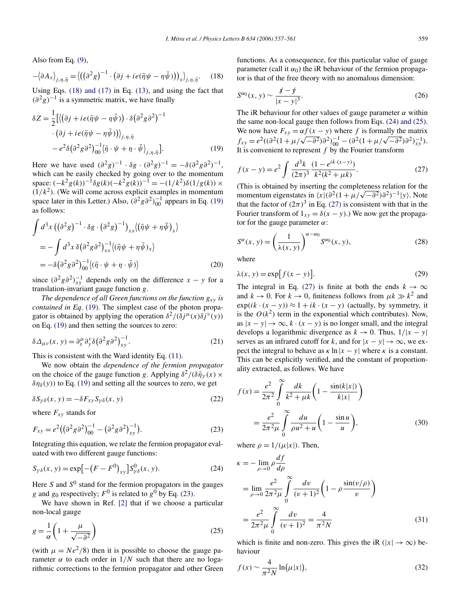Also from Eq. (9),

$$
-\left\langle \partial A_x \right\rangle_{j,\eta,\bar{\eta}} = \left\langle \left( \left( \partial^2 g \right)^{-1} \cdot \left( \partial j + i e (\bar{\eta} \psi - \eta \bar{\psi}) \right) \right)_x \right\rangle_{j,\eta,\bar{\eta}}.
$$
 (18)

Using Eqs. (18) and (17) in Eq. (13), and using the fact that  $(\partial^2 g)^{-1}$  is a symmetric matrix, we have finally

$$
\delta Z = \frac{1}{2} \left[ \langle (\partial j + i e(\bar{\eta}\psi - \eta\bar{\psi})) \cdot \delta (\partial^2 g \partial^2)^{-1} \cdot (\partial j + i e(\bar{\eta}\psi - \eta\bar{\psi})) \rangle_{j,\eta,\bar{\eta}} -e^2 \delta (\partial^2 g \partial^2)^{-1} \langle \bar{\eta} \cdot \psi + \eta \cdot \bar{\psi} \rangle_{j,\eta,\bar{\eta}} \right].
$$
\n(19)

Here we have used  $(\partial^2 g)^{-1} \cdot \delta g \cdot (\partial^2 g)^{-1} = -\delta (\partial^2 g \partial^2)^{-1}$ , which can be easily checked by going over to the momentum space:  $(-k^2 g(k))^{-1} \delta g(k) (-k^2 g(k))^{-1} = -(1/k^2) \delta(1/g(k)) \times$  $(1/k<sup>2</sup>)$ . (We will come across explicit examples in momentum space later in this Letter.) Also,  $(\partial^2 g \partial^2)^{-1}_{00}$  appears in Eq. (19) as follows:

$$
\int d^3x \left( (\partial^2 g)^{-1} \cdot \delta g \cdot (\partial^2 g)^{-1} \right)_{xx} \langle (\bar{\eta} \psi + \eta \bar{\psi})_x \rangle
$$
  
= 
$$
- \int d^3x \, \delta (\partial^2 g \partial^2)_{xx}^{-1} \langle (\bar{\eta} \psi + \eta \bar{\psi})_x \rangle
$$
  
= 
$$
- \delta (\partial^2 g \partial^2)_{00}^{-1} \langle (\bar{\eta} \cdot \psi + \eta \cdot \bar{\psi}) \rangle
$$
 (20)

since  $\left(\frac{\partial^2 g}{\partial x}\right)^{-1}_{xy}$  depends only on the difference  $x - y$  for a translation-invariant gauge function g.

*The dependence of all Green functions on the function*  $g_{xy}$  *is contained in Eq*. (19). The simplest case of the photon propagator is obtained by applying the operation  $\delta^2/(\delta j^{\mu}(x)\delta j^{\nu}(y))$ on Eq. (19) and then setting the sources to zero:

$$
\delta \Delta_{\mu\nu}(x, y) = \partial_x^{\mu} \partial_y^{\nu} \delta \left(\partial^2 g \partial^2\right)^{-1}_{xy}.
$$
 (21)

This is consistent with the Ward identity Eq. (11).

We now obtain the *dependence of the fermion propagator* on the choice of the gauge function g. Applying  $\delta^2/(\delta \bar{\eta}_Y(x)) \times$  $\delta \eta_{\delta}(y)$ ) to Eq. (19) and setting all the sources to zero, we get

$$
\delta S_{\gamma\delta}(x, y) = -\delta F_{xy} S_{\gamma\delta}(x, y) \tag{22}
$$

where  $F_{xy}$  stands for

$$
F_{xy} = e^2 \left( \left( \partial^2 g \partial^2 \right)_{00}^{-1} - \left( \partial^2 g \partial^2 \right)_{xy}^{-1} \right).
$$
 (23)

Integrating this equation, we relate the fermion propagator evaluated with two different gauge functions:

$$
S_{\gamma\delta}(x, y) = \exp\left[-\left(F - F^0\right)_{xy}\right]S_{\gamma\delta}^0(x, y). \tag{24}
$$

Here S and  $S^0$  stand for the fermion propagators in the gauges g and  $g_0$  respectively;  $F^0$  is related to  $g^0$  by Eq. (23).

We have shown in Ref. [2] that if we choose a particular non-local gauge

$$
g = \frac{1}{\alpha} \left( 1 + \frac{\mu}{\sqrt{-\partial^2}} \right) \tag{25}
$$

(with  $\mu = Ne^2/8$ ) then it is possible to choose the gauge parameter  $\alpha$  to each order in  $1/N$  such that there are no logarithmic corrections to the fermion propagator and other Green functions. As a consequence, for this particular value of gauge parameter (call it  $\alpha_0$ ) the iR behaviour of the fermion propagator is that of the free theory with no anomalous dimension:

$$
S^{\alpha_0}(x, y) \sim \frac{\cancel{x} - \cancel{y}}{|x - y|^3}.
$$
 (26)

The iR behaviour for other values of gauge parameter  $\alpha$  within the same non-local gauge then follows from Eqs. (24) and (25). We now have  $F_{xy} = \alpha f(x - y)$  where f is formally the matrix  $f_{xy} = e^2((\partial^2(1+\mu/\sqrt{-\partial^2})\partial^2)^{-1}_{00} - (\partial^2(1+\mu/\sqrt{-\partial^2})\partial^2)^{-1}_{xy}).$ It is convenient to represent  $f$  by the Fourier transform

$$
f(x - y) = e^2 \int \frac{d^3k}{(2\pi)^3} \frac{(1 - e^{ik \cdot (x - y)})}{k^2 (k^2 + \mu k)}.
$$
 (27)

(This is obtained by inserting the completeness relation for the momentum eigenstates in  $\langle x|(\partial^2(1 + \mu/\sqrt{-\partial^2})\partial^2)^{-1}|y\rangle$ . Note that the factor of  $(2\pi)^3$  in Eq. (27) is consistent with that in the Fourier transform of  $1_{xy} = \delta(x - y)$ .) We now get the propagator for the gauge parameter  $\alpha$ :

$$
S^{\alpha}(x, y) = \left(\frac{1}{\lambda(x, y)}\right)^{\alpha - \alpha_0} S^{\alpha_0}(x, y),
$$
\n(28)

where

$$
\lambda(x, y) = \exp[f(x - y)].
$$
\n(29)

The integral in Eq. (27) is finite at both the ends  $k \to \infty$ and  $k \to 0$ . For  $k \to 0$ , finiteness follows from  $\mu k \gg k^2$  and  $exp(ik \cdot (x - y)) \approx 1 + ik \cdot (x - y)$  (actually, by symmetry, it is the  $O(k^2)$  term in the exponential which contributes). Now, as  $|x - y| \rightarrow \infty$ ,  $k \cdot (x - y)$  is no longer small, and the integral develops a logarithmic divergence as  $k \to 0$ . Thus,  $1/|x - y|$ serves as an infrared cutoff for k, and for  $|x - y| \to \infty$ , we expect the integral to behave as  $\kappa \ln |x - y|$  where  $\kappa$  is a constant. This can be explicitly verified, and the constant of proportionality extracted, as follows. We have

$$
f(x) = \frac{e^2}{2\pi^2} \int_0^\infty \frac{dk}{k^2 + \mu k} \left( 1 - \frac{\sin(k|x|)}{k|x|} \right)
$$
  
= 
$$
\frac{e^2}{2\pi^2 \mu} \int_0^\infty \frac{du}{\rho u^2 + u} \left( 1 - \frac{\sin u}{u} \right),
$$
 (30)

where  $\rho = 1/(\mu|x|)$ . Then,

$$
\kappa = -\lim_{\rho \to 0} \rho \frac{df}{d\rho}
$$
  
= 
$$
\lim_{\rho \to 0} \frac{e^2}{2\pi^2 \mu} \int_{0}^{\infty} \frac{dv}{(v+1)^2} \left(1 - \rho \frac{\sin(v/\rho)}{v}\right)
$$
  
= 
$$
\frac{e^2}{2\pi^2 \mu} \int_{0}^{\infty} \frac{dv}{(v+1)^2} = \frac{4}{\pi^2 N}
$$
(31)

which is finite and non-zero. This gives the iR ( $|x| \to \infty$ ) behaviour

$$
f(x) \sim \frac{4}{\pi^2 N} \ln(\mu|x|),\tag{32}
$$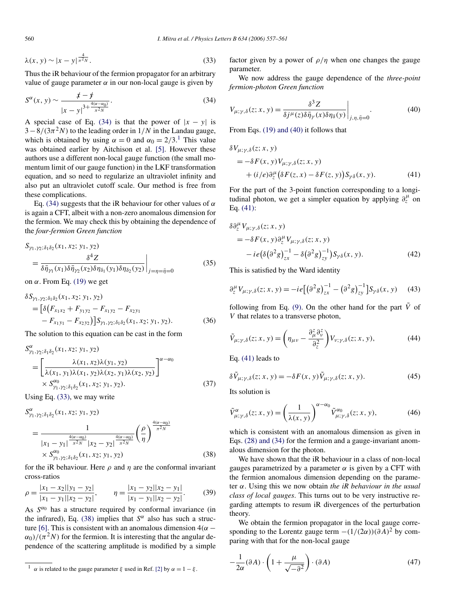$$
\lambda(x, y) \sim |x - y|^{\frac{4}{\pi^2 N}}.
$$
\n(33)

Thus the iR behaviour of the fermion propagator for an arbitrary value of gauge parameter  $\alpha$  in our non-local gauge is given by

$$
S^{\alpha}(x, y) \sim \frac{\cancel{x} - \cancel{y}}{|x - y|^{3 + \frac{4(\alpha - \alpha_0)}{\pi^2 N}}}.
$$
\n(34)

A special case of Eq. (34) is that the power of  $|x - y|$  is  $3-8/(3\pi^2 N)$  to the leading order in  $1/N$  in the Landau gauge, which is obtained by using  $\alpha = 0$  and  $\alpha_0 = 2/3$ .<sup>1</sup> This value was obtained earlier by Aitchison et al. [5]. However these authors use a different non-local gauge function (the small momentum limit of our gauge function) in the LKF transformation equation, and so need to regularize an ultraviolet infinity and also put an ultraviolet cutoff scale. Our method is free from these complications.

Eq. (34) suggests that the iR behaviour for other values of  $\alpha$ is again a CFT, albeit with a non-zero anomalous dimension for the fermion. We may check this by obtaining the dependence of the *four-fermion Green function*

$$
S_{\gamma_1, \gamma_2; \delta_1 \delta_2}(x_1, x_2; y_1, y_2)
$$
  
= 
$$
\frac{\delta^4 Z}{\delta \bar{\eta}_{\gamma_1}(x_1) \delta \bar{\eta}_{\gamma_2}(x_2) \delta \eta_{\delta_1}(y_1) \delta \eta_{\delta_2}(y_2)}\Big|_{j=\eta=\bar{\eta}=0}
$$
 (35)

on  $\alpha$ . From Eq. (19) we get

$$
\delta S_{\gamma_1, \gamma_2; \delta_1 \delta_2}(x_1, x_2; y_1, y_2)
$$
  
= 
$$
\left[ \delta \left( F_{x_1 x_2} + F_{y_1 y_2} - F_{x_1 y_2} - F_{x_2 y_1} \right) - F_{x_1 y_1} - F_{x_2 y_2} \right] S_{\gamma_1, \gamma_2; \delta_1 \delta_2}(x_1, x_2; y_1, y_2).
$$
 (36)

The solution to this equation can be cast in the form

$$
S^{\alpha}_{\gamma_1, \gamma_2; \delta_1 \delta_2}(x_1, x_2; y_1, y_2)
$$
\n
$$
= \left[ \frac{\lambda(x_1, x_2) \lambda(y_1, y_2)}{\lambda(x_1, y_1) \lambda(x_1, y_2) \lambda(x_2, y_1) \lambda(x_2, y_2)} \right]^{\alpha - \alpha_0}
$$
\n
$$
\times S^{\alpha_0}_{\gamma_1, \gamma_2; \delta_1 \delta_2}(x_1, x_2; y_1, y_2).
$$
\n(37)

Using Eq. (33), we may write

$$
S_{\gamma_1,\gamma_2;\delta_1\delta_2}^{\alpha}(x_1, x_2; y_1, y_2)
$$
  
= 
$$
\frac{1}{|x_1 - y_1|^{\frac{4(\alpha - \alpha_0)}{\pi^2 N}} |x_2 - y_2|^{\frac{4(\alpha - \alpha_0)}{\pi^2 N}} \left(\frac{\rho}{\eta}\right)^{\frac{4(\alpha - \alpha_0)}{\pi^2 N}}
$$
  
\$\times S\_{\gamma\_1,\gamma\_2;\delta\_1\delta\_2}^{\alpha\_0}(x\_1, x\_2; y\_1, y\_2)\$ (38)

for the iR behaviour. Here  $\rho$  and  $\eta$  are the conformal invariant cross-ratios

$$
\rho = \frac{|x_1 - x_2||y_1 - y_2|}{|x_1 - y_1||x_2 - y_2|}, \qquad \eta = \frac{|x_1 - y_2||x_2 - y_1|}{|x_1 - y_1||x_2 - y_2|}.
$$
(39)

As  $S^{\alpha_0}$  has a structure required by conformal invariance (in the infrared), Eq. (38) implies that  $S^{\alpha}$  also has such a structure [6]. This is consistent with an anomalous dimension  $4(\alpha \alpha_0$ )/( $\pi^2$ N) for the fermion. It is interesting that the angular dependence of the scattering amplitude is modified by a simple factor given by a power of  $\rho/\eta$  when one changes the gauge parameter.

We now address the gauge dependence of the *three-point fermion-photon Green function*

$$
V_{\mu;\gamma,\delta}(z;x,y) = \frac{\delta^3 Z}{\delta j^{\mu}(z)\delta \bar{\eta}_{\gamma}(x)\delta \eta_{\delta}(y)}\bigg|_{j,\eta,\bar{\eta}=0}.
$$
 (40)

From Eqs. (19) and (40) it follows that

$$
\delta V_{\mu;\gamma,\delta}(z;x,y) = -\delta F(x,y)V_{\mu;\gamma,\delta}(z;x,y) + (i/e)\partial_z^{\mu} (\delta F(z,x) - \delta F(z,y))S_{\gamma\delta}(x,y).
$$
 (41)

For the part of the 3-point function corresponding to a longitudinal photon, we get a simpler equation by applying  $\partial_z^{\mu}$  on Eq. (41):

$$
\delta \partial_z^{\mu} V_{\mu; \gamma, \delta}(z; x, y) \n= -\delta F(x, y) \partial_z^{\mu} V_{\mu; \gamma, \delta}(z; x, y) \n- i e \left( \delta \left( \partial^2 g \right)^{-1}_{zz} - \delta \left( \partial^2 g \right)^{-1}_{zy} \right) S_{\gamma \delta}(x, y).
$$
\n(42)

This is satisfied by the Ward identity

$$
\partial_z^{\mu} V_{\mu;\gamma,\delta}(z;x,y) = -ie\big[\big(\partial^2 g\big)^{-1}_{zx} - \big(\partial^2 g\big)^{-1}_{zy}\big]S_{\gamma\delta}(x,y) \tag{43}
$$

following from Eq. (9). On the other hand for the part  $\tilde{V}$  of V that relates to a transverse photon,

$$
\tilde{V}_{\mu;\gamma,\delta}(z;x,y) = \left(\eta_{\mu\nu} - \frac{\partial_{\mu}^{z}}{\partial_{z}^{2}}\right) V_{\nu;\gamma,\delta}(z;x,y),\tag{44}
$$

Eq. (41) leads to

$$
\delta \tilde{V}_{\mu;\gamma,\delta}(z;x,y) = -\delta F(x,y)\tilde{V}_{\mu;\gamma,\delta}(z;x,y). \tag{45}
$$

Its solution is

$$
\tilde{V}^{\alpha}_{\mu;\gamma,\delta}(z;x,y) = \left(\frac{1}{\lambda(x,y)}\right)^{\alpha-\alpha_0} \tilde{V}^{\alpha_0}_{\mu;\gamma,\delta}(z;x,y),\tag{46}
$$

which is consistent with an anomalous dimension as given in Eqs. (28) and (34) for the fermion and a gauge-invariant anomalous dimension for the photon.

We have shown that the iR behaviour in a class of non-local gauges parametrized by a parameter  $\alpha$  is given by a CFT with the fermion anomalous dimension depending on the parameter α. Using this we now obtain *the iR behaviour in the usual class of local gauges*. This turns out to be very instructive regarding attempts to resum iR divergences of the perturbation theory.

We obtain the fermion propagator in the local gauge corresponding to the Lorentz gauge term  $-(1/(2\alpha))(\partial A)^2$  by comparing with that for the non-local gauge

$$
-\frac{1}{2\alpha}(\partial A) \cdot \left(1 + \frac{\mu}{\sqrt{-\partial^2}}\right) \cdot (\partial A) \tag{47}
$$

<sup>&</sup>lt;sup>1</sup>  $\alpha$  is related to the gauge parameter  $\xi$  used in Ref. [2] by  $\alpha = 1 - \xi$ .